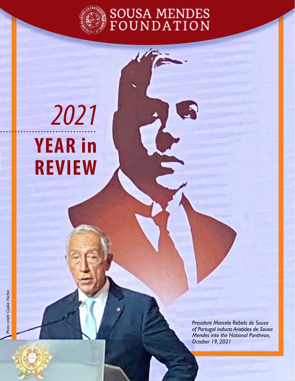

SOUSA MENDES<br>FOUNDATION

# **YEAR in REVIEW** *2021*

*President Marcelo Rebelo de Sousa of Portugal inducts Aristides de Sousa Mendes into the National Pantheon, October 19, 2021*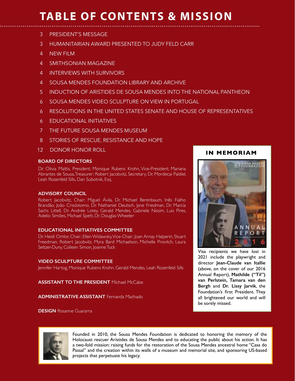# **TABLE OF CONTENTS & MISSION**

- 3 PRESIDENT'S MESSAGE
- 3 HUMANITARIAN AWARD PRESENTED TO JUDY FELD CARR
- 4 NEW FILM
- 4 SMITHSONIAN MAGAZINE
- 4 INTERVIEWS WITH SURVIVORS
- 4 SOUSA MENDES FOUNDATION LIBRARY AND ARCHIVE
- 5 INDUCTION OF ARISTIDES DE SOUSA MENDES INTO THE NATIONAL PANTHEON
- 6 SOUSA MENDES VIDEO SCULPTURE ON VIEW IN PORTUGAL
- 6 RESOLUTIONS IN THE UNITED STATES SENATE AND HOUSE OF REPRESENTATIVES
- 6 EDUCATIONAL INITIATIVES
- 7 THE FUTURE SOUSA MENDES MUSEUM
- 8 STORIES OF RESCUE, RESISTANCE AND HOPE
- 12 DONOR HONOR ROLL

### **BOARD OF DIRECTORS**

Dr. Olivia Mattis, President; Monique Rubens Krohn, Vice-President; Mariana Abrantes de Sousa, Treasurer; Robert Jacobvitz, Secretary; Dr. Mordecai Paldiel, Leah Rozenfeld Sills, Dan Subotnik, Esq.

### **ADVISORY COUNCIL**

Robert Jacobvitz, Chair; Miguel Ávila, Dr. Michael Berenbaum, Inês Fialho Brandão, João Crisóstomo, Dr. Nathaniel Deutsch, Jane Friedman, Dr. Marcia Sachs Littell, Dr. Andrée Lotey, Gerald Mendes, Gabriele Nissim, Luis Pires, Adelio Simões, Michael Spett, Dr. Douglas Wheeler

### **EDUCATIONAL INITIATIVES COMMITTEE**

Dr. Heidi Omlor, Chair; Ellen Widawsky, Vice-Chair; Joan Arnay Halperin, Stuart Freedman, Robert Jacobvitz, Myra Bard Michaelson, Michelle Provitch, Laura Seltzer-Duny, Colleen Simon, Joanne Tuck

### **VIDEO SCULPTURE COMMITTEE**

Jennifer Hartog, Monique Rubens Krohn, Gerald Mendes, Leah Rozenfeld Sills

**ASSISTANT TO THE PRESIDENT** Michael McCabe

**ADMINISTRATIVE ASSISTANT** Fernanda Machado

**DESIGN** Rosanne Guararra

### **IN MEMORIAM**



Visa recipients we have lost in 2021 include the playwright and director **Jean-Claude van Itallie** (above, on the cover of our 2016 Annual Report), **Mathilde ("Til") van Perlstein, Tamara van den Bergh** and **Dr. Lissy Jarvik**, the Foundation's frst President. They all brightened our world and will be sorely missed.



Founded in 2010, the Sousa Mendes Foundation is dedicated to honoring the memory of the Holocaust rescuer Aristides de Sousa Mendes and to educating the public about his action. It has a two-fold mission: raising funds for the restoration of the Sousa Mendes ancestral home "Casa do Passal" and the creation within its walls of a museum and memorial site, and sponsoring US-based projects that perpetuate his legacy.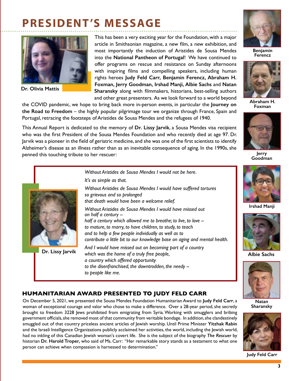# **PRESIDENT'S MESSAGE**



**Dr. Olivia Mattis**

This has been a very exciting year for the Foundation, with a major article in Smithsonian magazine, a new flm, a new exhibition, and most importantly the induction of Aristides de Sousa Mendes into the **National Pantheon of Portugal**! We have continued to offer programs on rescue and resistance on Sunday afternoons with inspiring flms and compelling speakers, including human rights heroes **Judy Feld Carr, Benjamin Ferencz, Abraham H. Foxman, Jerry Goodman, Irshad Manji, Albie Sachs** and **Natan Sharansky** along with flmmakers, historians, best-selling authors and other great presenters. As we look forward to a world beyond

the COVID pandemic, we hope to bring back more in-person events, in particular the **Journey on the Road to Freedom** – the highly popular pilgrimage tour we organize through France, Spain and Portugal, retracing the footsteps of Aristides de Sousa Mendes and the refugees of 1940.

This Annual Report is dedicated to the memory of **Dr. Lissy Jarvik**, a Sousa Mendes visa recipient who was the frst President of the Sousa Mendes Foundation and who recently died at age 97. Dr. Jarvik was a pioneer in the feld of geriatric medicine, and she was one of the frst scientists to identify Alzheimer's disease as an illness rather than as an inevitable consequence of aging. In the 1990s, she penned this touching tribute to her rescuer:

*that death would have been a welcome relief.*

*which was the home of a truly free people, a country which offered opportunity*

*Without Aristides de Sousa Mendes I would not be here.*

*Without Aristides de Sousa Mendes I would have suffered tortures* 

*Without Aristides de Sousa Mendes I would have missed out*

*half a century which allowed me to breathe; to live, to love - to mature, to marry, to have children, to study, to teach and to help a few people individually as well as to*

*And I would have missed out on becoming part of a country*

*to the disenfranchised, the downtrodden, the needy --*

*contribute a little bit to our knowledge base on aging and mental health.*



**Benjamin Ferencz**



**Abraham H. Foxman**



**Jerry Goodman**



**Irshad Manji**



**Albie Sachs**



**Natan Sharansky**



**Judy Feld Carr**

### **HUMANITARIAN AWARD PRESENTED TO JUDY FELD CARR**

*It's as simple as that.*

*on half a century --*

*to people like me.*

*so grievous and so prolonged*

On December 5, 2021, we presented the Sousa Mendes Foundation Humanitarian Award to **Judy Feld Carr**, a woman of exceptional courage and valor who chose to make a difference. Over a 28-year period, she secretly brought to freedom 3228 Jews prohibited from emigrating from Syria. Working with smugglers and bribing government offcials, she removed most of that community from veritable bondage. In addition, she clandestinely smuggled out of that country priceless ancient articles of Jewish worship. Until Prime Minister **Yitzhak Rabin** and the Israeli Intelligence Organizations publicly acclaimed her activities, the world, including the Jewish world, had no inkling of this Canadian Jewish woman's covert life. She is the subject of the biography *The Rescuer* by historian **Dr. Harold Troper,** who said of Ms. Carr: "Her remarkable story stands as a testament to what one person can achieve when compassion is harnessed to determination."



**Dr. Lissy Jarvik**

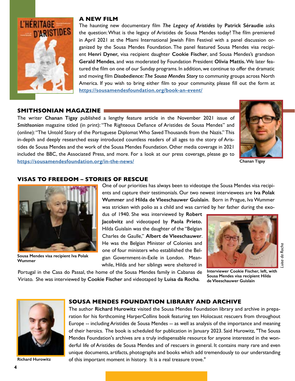

### **A NEW FILM**

The haunting new documentary flm *The Legacy of Aristides* by **Patrick Séraudie** asks the question: What is the legacy of Aristides de Sousa Mendes today? The flm premiered in April 2021 at the Miami International Jewish Film Festival with a panel discussion organized by the Sousa Mendes Foundation. The panel featured Sousa Mendes visa recipient **Henri Dyner,** visa recipient daughter **Cookie Fischer**, and Sousa Mendes's grandson **Gerald Mendes**, and was moderated by Foundation President **Olivia Mattis.** We later featured the flm on one of our Sunday programs. In addition, we continue to offer the dramatic and moving flm *Disobedience: The Sousa Mendes Story* to community groups across North America. If you wish to bring either flm to your community, please fll out the form at **<https://sousamendesfoundation.org/book-an-event/>**

### **SMITHSONIAN MAGAZINE SMITHSONIAN MAGAZINE**

The writer **Chanan Tigay** published a lengthy feature article in the November 2021 issue of *Smithsonian* magazine titled (in print): "The Righteous Defance of Aristides de Sousa Mendes" and (online): "The Untold Story of the Portuguese Diplomat Who Saved Thousands from the Nazis." This in-depth and deeply researched essay introduced countless readers of all ages to the story of Aristides de Sousa Mendes and the work of the Sousa Mendes Foundation. Other media coverage in 2021 included the BBC, the Associated Press, and more. For a look at our press coverage, please go to **<https://sousamendesfoundation.org/in-the-news/>**

Portugal in the Casa do Passal, the home of the Sousa Mendes family in Cabanas de Viriato. She was interviewed by **Cookie Fischer** and videotaped by **Luisa da Rocha**.



**Chanan Tigay**

### **VISAS TO FREEDOM – STORIES OF RESCUE**



**Sousa Mendes visa recipient Iva Polak Wummer**

One of our priorities has always been to videotape the Sousa Mendes visa recipients and capture their testimonials. Our two newest interviewees are **Iva Polak Wummer** and **Hilda de Vleeschauwer Guislain**. Born in Prague, Iva Wummer was stricken with polio as a child and was carried by her father during the exo-

dus of 1940. She was interviewed by **Robert Jacobvitz** and videotaped by **Paola Prieto.** Hilda Guislain was the daughter of the "Belgian Charles de Gaulle," **Albert de Vleeschauwer**. He was the Belgian Minister of Colonies and one of four ministers who established the Belgian Government-in-Exile in London. Meanwhile, Hilda and her siblings were sheltered in



uisa da Rocha *Luisa da Rocha*

**Interviewer Cookie Fischer, left, with Sousa Mendes visa recipient Hilda de Vleeschauwer Guislain**



### **SOUSA MENDES FOUNDATION LIBRARY AND ARCHIVE**

The author **Richard Hurowitz** visited the Sousa Mendes Foundation library and archive in preparation for his forthcoming HarperCollins book featuring ten Holocaust rescuers from throughout Europe -- including Aristides de Sousa Mendes -- as well as analysis of the importance and meaning of their heroics. The book is scheduled for publication in January 2023. Said Hurowitz, "The Sousa Mendes Foundation's archives are a truly indispensable resource for anyone interested in the wonderful life of Aristides de Sousa Mendes and of rescuers in general. It contains many rare and even unique documents, artifacts, photographs and books which add tremendously to our understanding **Richard Hurowitz** of this important moment in history. It is a real treasure trove."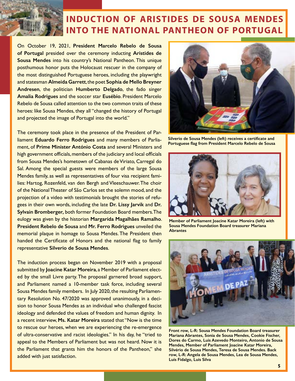### **INDUCTION OF ARISTIDES DE SOUSA MENDES INTO THE NATIONAL PANTHEON OF PORTUGAL**

On October 19, 2021, **President Marcelo Rebelo de Sousa of Portugal** presided over the ceremony inducting **Aristides de Sousa Mendes** into his country's National Pantheon. This unique posthumous honor puts the Holocaust rescuer in the company of the most distinguished Portuguese heroes, including the playwright and statesman **Almeida Garrett**, the poet **Sophia de Mello Breyner Andresen**, the politician **Humberto Delgado**, the fado singer **Amalia Rodrigues** and the soccer star **Eusébio**. President Marcelo Rebelo de Sousa called attention to the two common traits of these heroes: like Sousa Mendes, they all "changed the history of Portugal and projected the image of Portugal into the world."

The ceremony took place in the presence of the President of Parliament **Eduardo Ferro Rodrigues** and many members of Parliament, of **Prime Minister António Costa** and several Ministers and high government officials, members of the judiciary and local officials from Sousa Mendes's hometown of Cabanas de Viriato, Carregal do Sal. Among the special guests were members of the large Sousa Mendes family, as well as representatives of four visa recipient families: Hartog, Rozenfeld, van den Bergh and Vleeschauwer. The choir of the National Theater of São Carlos set the solemn mood, and the projection of a video with testimonials brought the stories of refugees in their own words, including the late **Dr. Lissy Jarvik** and **Dr. Sylvain Bromberger,** both former Foundation Board members. The eulogy was given by the historian **Margarida Magalhães Ramalho**. **President Rebelo de Sousa** and **Mr. Ferro Rodrigues** unveiled the memorial plaque in homage to Sousa Mendes. The President then handed the Certificate of Honors and the national flag to family representative **Silverio de Sousa Mendes**.

The induction process began on November 2019 with a proposal submitted by **Joacine Katar Moreira**, a Member of Parliament elected by the small Livre party. The proposal garnered broad support, and Parliament named a 10-member task force, including several Sousa Mendes family members. In July 2020, the resulting Parliamentary Resolution No. 47/2020 was approved unanimously, in a decision to honor Sousa Mendes as an individual who challenged fascist ideology and defended the values of freedom and human dignity. In a recent interview, **Ms. Katar Moreira** stated that "Now is the time to rescue our heroes, when we are experiencing the re-emergence of ultra-conservative and racist ideologies." In his day, he "tried to appeal to the Members of Parliament but was not heard. Now it is the Parliament that grants him the honors of the Pantheon," she added with just satisfaction.



**Silverio de Sousa Mendes (left) receives a certifcate and Portuguese fag from President Marcelo Rebelo de Sousa**



**Member of Parliament Joacine Katar Moreira (left) with Sousa Mendes Foundation Board treasurer Mariana Abrantes**



**Front row, L-R: Sousa Mendes Foundation Board treasurer Mariana Abrantes, Sonia de Sousa Mendes, Cookie Fischer, Dores do Carmo, Luis Azevedo Monteiro, Antonio de Sousa Mendes, Member of Parliament Joacine Katar Moreira, Silvério de Sousa Mendes, Teresa de Sousa Mendes. Back row, L-R: Angela de Sousa Mendes, Lea de Sousa Mendes, Luis Fidalgo, Luis Silva**

3.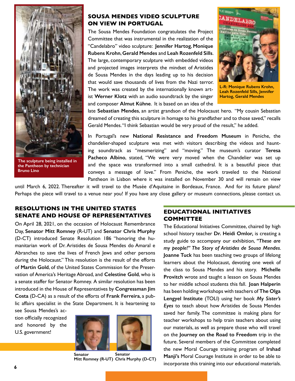

**The sculpture being installed in the Pantheon by technician Bruno Lino**

### **SOUSA MENDES VIDEO SCULPTURE ON VIEW IN PORTUGAL**

The Sousa Mendes Foundation congratulates the Project Committee that was instrumental in the realization of the "Candelabro" video sculpture: **Jennifer Hartog**, **Monique Rubens Krohn**, **Gerald Mendes** and **Leah Rozenfeld Sills**. The large, contemporary sculpture with embedded videos and projected images interprets the mindset of Aristides de Sousa Mendes in the days leading up to his decision that would save thousands of lives from the Nazi terror. The work was created by the internationally known artist **Werner Klotz** with an audio soundtrack by the singer and composer **Almut Kühne**. It is based on an idea of the



**L-R: Monique Rubens Krohn, Leah Rozenfeld Sills, Jennifer Hartog, Gerald Mendes**

late **Sebastian Mendes**, an artist grandson of the Holocaust hero. "My cousin Sebastian dreamed of creating this sculpture in homage to his grandfather and to those saved," recalls Gerald Mendes. "I think Sebastian would be very proud of the result," he added.

In Portugal's new **National Resistance and Freedom Museum** in Peniche, the chandelier-shaped sculpture was met with visitors describing the videos and haunting soundtrack as "mesmerizing" and "moving." The museum's curator **Teresa Pacheco Albino**, stated, "We were very moved when the Chandelier was set up and the space was transformed into a small cathedral. It is a beautiful piece that conveys a message of love." From Peniche, the work traveled to the National Pantheon in Lisbon where it was installed on November 30 and will remain on view

until March 6, 2022. Thereafter it will travel to the Musée d'Aquitaine in Bordeaux, France. And for its future plans? Perhaps the piece will travel to a venue near you! If you have any close gallery or museum connections, please contact us.

### **RESOLUTIONS IN THE UNITED STATES SENATE AND HOUSE OF REPRESENTATIVES**

On April 28, 2021, on the occasion of Holocaust Remembrance Day, **Senator Mitt Romney** (R-UT) and **Senator Chris Murphy** (D-CT) introduced Senate Resolution 186 "honoring the humanitarian work of Dr. Aristides de Sousa Mendes do Amaral e Abranches to save the lives of French Jews and other persons during the Holocaust." This resolution is the result of the efforts of **Martin Gold**, of the United States Commission for the Preservation of America's Heritage Abroad, and **Celestine Gold**, who is a senate staffer for Senator Romney. A similar resolution has been introduced in the House of Representatives by **Congressman Jim Costa** (D-CA) as a result of the efforts of **Frank Ferreira**, a public affairs specialist in the State Department. It is heartening to

see Sousa Mendes's action officially recognized and honored by the U.S. government!



**Senator Mitt Romney (R-UT) Chris Murphy (D-CT) Senator** 

### **EDUCATIONAL INITIATIVES COMMITTEE**

The Educational Initiatives Committee, chaired by high school history teacher **Dr. Heidi Omlor,** is creating a study guide to accompany our exhibition, *"These are my people!" The Story of Aristides de Sousa Mendes*. **Joanne Tuck** has been teaching two groups of lifelong learners about the Holocaust, devoting one week of the class to Sousa Mendes and his story. **Michelle Provitch** wrote and taught a lesson on Sousa Mendes to her middle school students this fall. **Joan Halperin** has been holding workshops with teachers of **The Olga Lengyel Institute** (TOLI) using her book *My Sister's Eyes* to teach about how Aristides de Sousa Mendes saved her family. The committee is making plans for teacher workshops to help train teachers about using our materials, as well as prepare those who will travel on the **Journey on the Road to Freedom** trip in the future. Several members of the Committee completed the new Moral Courage training program of **Irshad Manji's** Moral Courage Institute in order to be able to incorporate this training into our educational materials.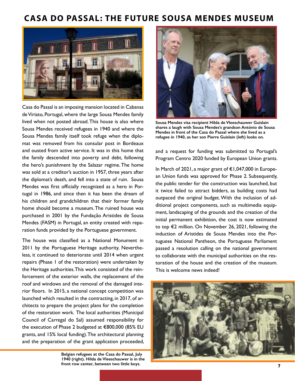### **CASA DO PASSAL: THE FUTURE SOUSA MENDES MUSEUM**



Casa do Passal is an imposing mansion located in Cabanas de Viriato, Portugal, where the large Sousa Mendes family lived when not posted abroad. This house is also where Sousa Mendes received refugees in 1940 and where the Sousa Mendes family itself took refuge when the diplomat was removed from his consular post in Bordeaux and ousted from active service. It was in this home that the family descended into poverty and debt, following the hero's punishment by the Salazar regime. The home was sold at a creditor's auction in 1957, three years after the diplomat's death, and fell into a state of ruin. Sousa Mendes was first officially recognized as a hero in Portugal in 1986, and since then it has been the dream of his children and grandchildren that their former family home should become a museum. The ruined house was purchased in 2001 by the Fundação Aristides de Sousa Mendes (FASM) in Portugal, an entity created with reparation funds provided by the Portuguese government.

The house was classifed as a National Monument in 2011 by the Portuguese Heritage authority. Nevertheless, it continued to deteriorate until 2014 when urgent repairs (Phase 1 of the restoration) were undertaken by the Heritage authorities. This work consisted of the reinforcement of the exterior walls, the replacement of the roof and windows and the removal of the damaged interior floors. In 2015, a national concept competition was launched which resulted in the contracting, in 2017, of architects to prepare the project plans for the completion of the restoration work. The local authorities (Municipal Council of Carregal do Sal) assumed responsibility for the execution of Phase 2 budgeted at €800,000 (85% EU grants, and 15% local funding).The architectural planning and the preparation of the grant application proceeded,

> **Belgian refugees at the Casa do Passal, July 1940 (right). Hilda de Vleeschauwer is in the front row center, between two little boys.**



**Sousa Mendes visa recipient Hilda de Vleeschauwer Guislain shares a laugh with Sousa Mendes's grandson António de Sousa Mendes in front of the Casa do Passal where she lived as a refugee in 1940, as her son Pierre Guislain (left) looks on.** 

and a request for funding was submitted to Portugal's Program Centro 2020 funded by European Union grants.

In March of 2021, a major grant of €1,047,000 in European Union funds was approved for Phase 2. Subsequently, the public tender for the construction was launched, but it twice failed to attract bidders, as building costs had outpaced the original budget. With the inclusion of additional project components, such as multimedia equipment, landscaping of the grounds and the creation of the initial permanent exhibition, the cost is now estimated to top €2 million. On November 26, 2021, following the induction of Aristides de Sousa Mendes into the Portuguese National Pantheon, the Portuguese Parliament passed a resolution calling on the national government to collaborate with the municipal authorities on the restoration of the house and the creation of the museum. This is welcome news indeed!

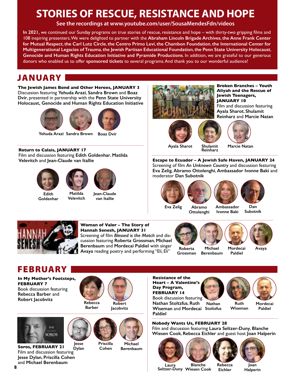## **STORIES OF RESCUE, RESISTANCE AND HOPE**

**See the recordings at [www.youtube.com/user/SousaMendesFdn/videos](http://www.youtube.com/user/SousaMendesFdn/videos)**

**In 2021,** we continued our Sunday programs on true stories of rescue, resistance and hope – with thirty-two gripping flms and 108 inspiring presenters. We were delighted to partner with the **Abraham Lincoln Brigade Archives**, **the Anne Frank Center for Mutual Respect**, **the Carl Lutz Circle**, **the Centro Primo Levi**, **the Chambon Foundation**, **the International Center for Multigenerational Legacies of Trauma**, **the Jewish Partisan Educational Foundation**, **the Penn State University Holocaust**, **Genocide and Human Rights Education Initiative and Pyramide Productions**. In addition, we are grateful to our generous donors who enabled us to offer **sponsored tickets** to several programs. And thank you to our wonderful audience!

### JANUARY

**The Jewish James Bond and Other Heroes, JANUARY 3** Discussion featuring **Yehuda Arazi**, **Sandra Brown** and **Boaz Dvir**, presented in partnership with the **Penn State University Holocaust, Genocide and Human Rights Education Initiative**





**Return to Calais, JANUARY 17** Film and discussion featuring **Edith Goldenhar**, **Matilda Velevitch** and **Jean-Claude van Itallie**

**Velevitch**





**Edith Goldenhar**

**Jean-Claude van Itallie**









**Broken Branches – Youth Aliyah and the Rescue of** 

Film and discussion featuring

**Jewish Teenagers, JANUARY 10**

**Ayala Sharot Shulamit** 

**Marcie Natan**

**Escape to Ecuador – A Jewish Safe Haven, JANUARY 24** Screening of flm *An Unknown Country* and discussion featuring **Eva Zelig**, **Abramo Ottolenghi**, **Ambassador Ivonne Baki** and moderator **Dan Subotnik**

**Reinharz**









**Eva Zelig Abramo Ottolenghi**

**Ambassador Ivonne Baki**

**Dan Subotnik**



### **Woman of Valor – The Story of Hannah Senesh, JANUARY 31**

Screening of flm *Blessed is the Match* and discussion featuring **Roberta Grossman**, **Michael Berenbaum** and **Mordecai Paldiel** with singer **Avaya** reading poetry and performing "Eli, Eli" **Roberta**



**Grossman Michael Berenbaum**

**Mordecai Paldiel**



### **FEBRUARY**

**In My Mother's Footsteps, FEBRUARY 7** Book discussion featuring **Rebecca Barber** and **Robert Jacobvitz Rebecca**





**Soros, FEBRUARY 21** Film and discussion featuring **Jesse Dylan**, **Priscilla Cohen** and **Michael Berenbaum Jesse Dylan**



**Cohen**

**Priscilla**

**Michael Berenbaum**





**Ruth Wiseman**



**Mordecai Paldiel**

**Nobody Wants Us, FEBRUARY 28** Film and discussion featuring **Laura Seltzer-Duny**, **Blanche Wiesen Cook**, **Rebecca Eichler** and guest host **Joan Halperin**



**Paldiel**



**Eichler**



**Laura Seltzer-Duny Wiesen Cook Blanche**

**Joan Halperin**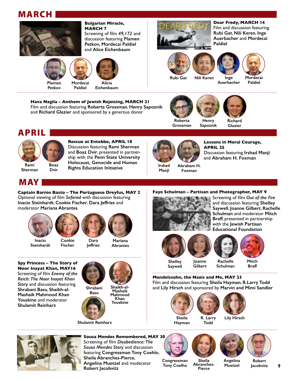### MARCH







**Plamen Petkov**

**Mordecai Paldiel**



**Bulgarian Miracle,** 

Screening of flm *49,172* and discussion featuring **Plamen Petkov, Mordecai Paldiel** and **Alice Eichenbaum**

**MARCH 7**

**Eichenbaum**

**Hava Nagila – Anthem of Jewish Rejoicing, MARCH 21** Film and discussion featuring **Roberta Grossman**, **Henry Sapoznik** and **Richard Glazier** and sponsored by a generous donor



**Dear Fredy, MARCH 14** Film and discussion featuring **Rubi Gat**, **Nili Keren**, **Inge Auerbacher** and **Mordecai Paldiel**







**Auerbacher**

**Mordecai Paldiel**



**Grossman**





**Glazier**





**Rescue at Entebbe, APRIL 18** Discussion featuring **Rami Sherman** and **Boaz Dvir**, presented in partnership with the **Penn State University Holocaust, Genocide and Human Rights Education Initiative Boaz**



**Manji Abraham H. Foxman**

**Lessons in Moral Courage, APRIL 25** Discussion featuring **Irshad Manji** and **Abraham H. Foxman**

### MAY

**Captain Barros Basto – The Portuguese Dreyfus, MAY 2** Optional viewing of flm *Sefarad* with discussion featuring **Inacio Steinhardt**, **Cookie Fischer**, **Dara Jeffries** and moderator **Mariana Abrantes**



**Steinhardt**



**Fischer**



**Mariana Abrantes**

**Spy Princess – The Story of Noor Inayat Khan, MAY16** Screening of flm *Enemy of the Reich: The Noor Inayat Khan Story* and discussion featuring **Shrabani Basu**, **Shaikh-al-Mashaik Mahmood Khan Youskine** and moderator **Shulamit Reinharz**



**Jeffries**

**Shulamit Reinharz**



**Henry Sapoznik**





**Shelley**

**Joanne Gilbert**



**Mitch**

**Saywell**







**Mendelssohn, the Nazis and Me, MAY 23** Film and discussion featuring **Sheila Hayman**, **R.Larry Todd**  and **Lily Hirsch** and sponsored by **Marvin and Mimi Sandler**

**Sheila Hayman**

**R. Larry**

**Todd**





**Angelina Muetzel**



**Sousa Mendes Remembered, MAY 30** Screening of flm *Disobedience: The Sousa Mendes Story* and discussion featuring **Congressman Tony Coehlo**, **Sheila Abranches-Pierce**, **Angelina Muetzel** and moderator **Robert Jacobvitz**

**Congressman Tony Coelho**

**Sheila Abranches-Pierce**

**Robert Jacobvitz 9**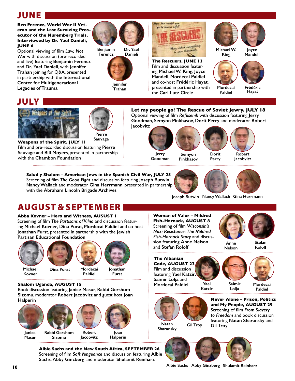### JUNE

**Ben Ferencz, World War II Veteran and the Last Surviving Prosecutor of the Nuremberg Trials, Interviewed by Dr. Yael Danieli, JUNE 6**

Optional viewing of flm *Law, Not War* with discussion (pre-recorded and live) featuring **Benjamin Ferencz** and **Dr. Yael Danieli**, with **Jennifer Trahan** joining for Q&A, presented in partnership with the **International Center for Multigenerational Legacies of Trauma**



**Benjamin Ferencz Dr. Yael Danieli**



**Trahan**



**The Rescuers, JUNE 13** Film and discussion featuring **Michael W. King**, **Joyce Mandell**, **Mordecai Paldiel** and co-host **Frédéric Hayat**, presented in partnership with the **Carl Lutz Circle**



**King**

**Mordecai Paldiel**





**Frédéric Hayat**

### JULY



**Pierre** 

**Weapons of the Spirit, JULY 11** Film and pre-recorded discussion featuring **Pierre Sauvage** and **Bill Moyers**, presented in partnership with the **Chambon Foundation Sauvage**

**Let my people go! The Rescue of Soviet Jewry, JULY 18** Optional viewing of flm *Refusenik* with discussion featuring **Jerry Goodman**, **Semyon Pinkhasov**, **Dorit Perry** and moderator **Robert Jacobvitz**

**Jerry**

**Goodman**





**Robert Jacobvitz**

**Salud y Shalom – American Jews in the Spanish Civil War, JULY 25** Screening of flm *The Good Fight* and discussion featuring **Joseph Butwin**, **Nancy Wallach** and moderator **Gina Herrmann**, presented in partnership with the **Abraham Lincoln Brigade Archives**



**Joseph Butwin Nancy Wallach Gina Herrmann**

**Perry**

### AUGUST & SEPTEMBER

### **Abba Kovner – Hero and Witness, AUSUST 1**

Screening of flm *The Partisans of Vilna* and discussion featuring **Michael Kovner, Dina Porat**, **Mordecai Paldiel** and co-host **Jonathan Furst**, presented in partnership with the **Jewish Partisan Educational Foundation**



**Kovner**



**Paldiel Jonathan**

**Furst** 

**Shalom Uganda, AUGUST 15**

Book discussion featuring **Janice Masur**, **Rabbi Gershom Sizomu**, moderator **Robert Jacobvitz** and guest host **Joan Halperin**



**Albie Sachs and the New South Africa, SEPTEMBER 26** Screening of flm *Soft Vengeance* and discussion featuring **Albie Sachs**, **Abby Ginzberg** and moderator **Shulamit Reinharz**

**Woman of Valor – Mildred Fish-Harnack, AUGUST 8** Screening of flm *Wisconsin's Nazi Resistance: The Mildred Fish-Harnack Story* and discussion featuring **Anne Nelson** and **Stefan Roloff** 



**Nelson**

**Stefan Roloff**

**The Albanian Code, AUGUST 22** Film and discussion featuring **Yael Katzir**, **Saimir Lolja** and **Mordecai Paldiel Mordecai Yael**





**Katzir**

**Paldiel**

Natan<sub>t</sub> Gil Troy **Gil Troy Sharansky** 

**Never Alone – Prison, Politics and My People, AUGUST 29** Screening of flm *From Slavery to Freedom* and book discussion featuring **Natan Sharansky** and





**Albie Sachs Abby Ginzberg Shulamit Reinharz**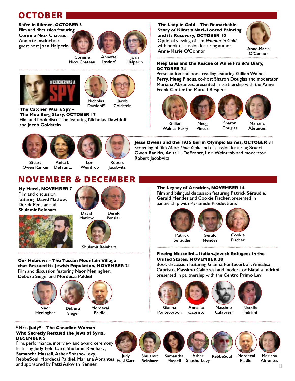### **OCTOBER**

#### **Safer in Silence, OCTOBER 3**

Film and discussion featuring **Corinne Niox Chateau**, **Annette Insdorf** and guest host **Joan Halperin**



**Insdorf**

**Joan Halperin**

**Niox Chateau**





**Dawidoff Jacob Goldstein**

**The Catcher Was a Spy – The Moe Berg Story, OCTOBER 17** Film and book discussion featuring **Nicholas Dawidoff** and **Jacob Goldstein**









**Jacobvitz**

**Stuart Owen Rankin**

**DeFrantz Lori Weintrob**

### NOVEMBER & DECEMBER

**My Herzl, NOVEMBER 7** Film and discussion featuring **David Matlow**, **Derek Penslar** and **Shulamit Reinharz**





**Shulamit Reinharz**

#### **Our Hebrews – The Tuscan Mountain Village that Rescued its Jewish Population, NOVEMBER 21** Film and discussion featuring **Naor Meningher**, **Debora Siegel** and **Mordecai Paldiel**

**Naor Meningher Mordecai Paldiel Debora**

Film, performance, interview and award ceremony featuring **Judy Feld Carr**, **Shulamit Reinharz**, **Samantha Massell**, **Asher Shasho-Levy**,

and sponsored by **Patti Askwith Kenner**

**"Mrs. Judy" – The Canadian Woman Who Secretly Rescued the Jews of Syria,** 

**DECEMBER 5**

### **Siegel**



**Annalisa**







**Gillian Walnes-Perry Meeg Pincus Sharon Douglas Mariana Abrantes**

**Frank Center for Mutual Respect**

**The Lady in Gold – The Remarkable Story of Klimt's Nazi-Looted Painting and its Recovery, OCTOBER 10** Optional viewing of flm *Woman in Gold* with book discussion featuring author

**Jesse Owens and the 1936 Berlin Olympic Games, OCTOBER 31** Screening of flm *More Than Gold* and discussion featuring **Stuart Owen Rankin, Anita L. DeFrantz**, **Lori Weintrob** and moderator **Robert Jacobvitz**

**The Legacy of Aristides, NOVEMBER 14** Film and bilingual discussion featuring **Patrick Séraudie**, **Gerald Mendes** and **Cookie Fischer**, presented in partnership with **Pyramide Productions**



#### **Fleeing Mussolini – Italian-Jewish Refugees in the United States, NOVEMBER 28**

Book discussion featuring **Gianna Pontecorboli**, **Annalisa Capristo**, **Massimo Calabresi** and moderator **Natalia Indrimi**, presented in partnership with the **Centro Primo Levi**



**OCTOBER 24**



**Gianna Pontecorboli**

**Massimo Calabresi**

**Natalia Indrimi**



**Mariana**

**Judy**

**Asher RebbeSoul Shasho-Levy Massell**

**Paldiel**

**Abrantes**